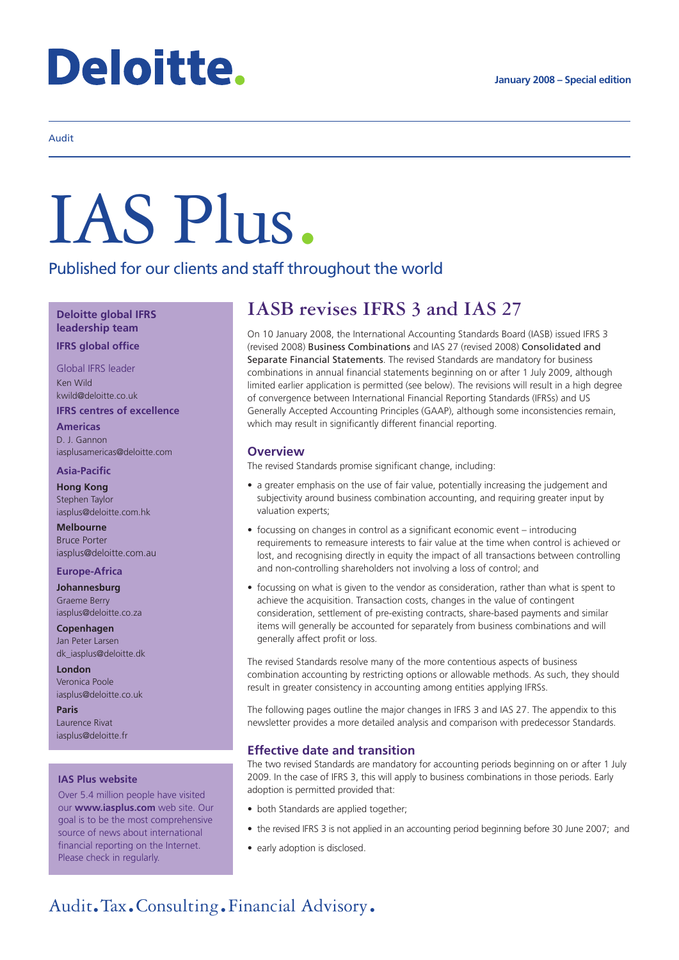# **Deloitte.**

#### Audit

# IAS Plus.

Published for our clients and staff throughout the world

**Deloitte global IFRS leadership team**

**IFRS global office**

Global IFRS leader Ken Wild kwild@deloitte.co.uk **IFRS centres of excellence**

**Americas** D. J. Gannon

iasplusamericas@deloitte.com

**Asia-Pacific**

**Hong Kong** Stephen Taylor iasplus@deloitte.com.hk

**Melbourne** Bruce Porter iasplus@deloitte.com.au

#### **Europe-Africa**

**Johannesburg** Graeme Berry iasplus@deloitte.co.za

**Copenhagen** Jan Peter Larsen dk\_iasplus@deloitte.dk

**London** Veronica Poole iasplus@deloitte.co.uk

**Paris** Laurence Rivat iasplus@deloitte.fr

#### **IAS Plus website**

Over 5.4 million people have visited our **www.iasplus.com** web site. Our goal is to be the most comprehensive source of news about international financial reporting on the Internet. Please check in regularly.

## **IASB revises IFRS 3 and IAS 27**

On 10 January 2008, the International Accounting Standards Board (IASB) issued IFRS 3 (revised 2008) Business Combinations and IAS 27 (revised 2008) Consolidated and Separate Financial Statements. The revised Standards are mandatory for business combinations in annual financial statements beginning on or after 1 July 2009, although limited earlier application is permitted (see below). The revisions will result in a high degree of convergence between International Financial Reporting Standards (IFRSs) and US Generally Accepted Accounting Principles (GAAP), although some inconsistencies remain, which may result in significantly different financial reporting.

#### **Overview**

The revised Standards promise significant change, including:

- a greater emphasis on the use of fair value, potentially increasing the judgement and subjectivity around business combination accounting, and requiring greater input by valuation experts;
- focussing on changes in control as a significant economic event introducing requirements to remeasure interests to fair value at the time when control is achieved or lost, and recognising directly in equity the impact of all transactions between controlling and non-controlling shareholders not involving a loss of control; and
- focussing on what is given to the vendor as consideration, rather than what is spent to achieve the acquisition. Transaction costs, changes in the value of contingent consideration, settlement of pre-existing contracts, share-based payments and similar items will generally be accounted for separately from business combinations and will generally affect profit or loss.

The revised Standards resolve many of the more contentious aspects of business combination accounting by restricting options or allowable methods. As such, they should result in greater consistency in accounting among entities applying IFRSs.

The following pages outline the major changes in IFRS 3 and IAS 27. The appendix to this newsletter provides a more detailed analysis and comparison with predecessor Standards.

#### **Effective date and transition**

The two revised Standards are mandatory for accounting periods beginning on or after 1 July 2009. In the case of IFRS 3, this will apply to business combinations in those periods. Early adoption is permitted provided that:

- both Standards are applied together;
- the revised IFRS 3 is not applied in an accounting period beginning before 30 June 2007; and
- early adoption is disclosed.

### Audit.Tax.Consulting.Financial Advisory.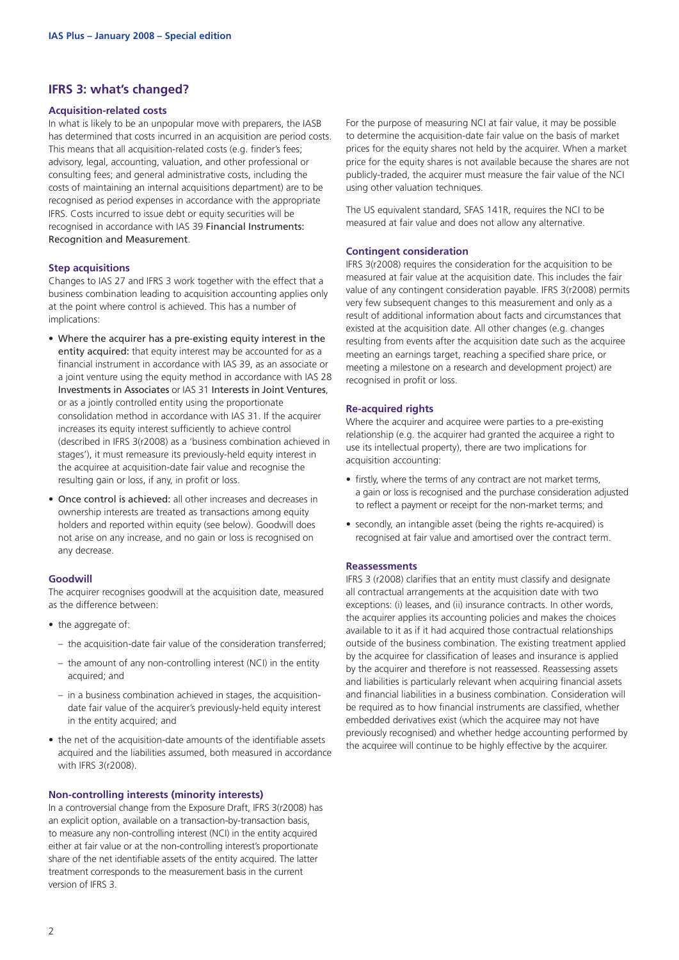#### **IFRS 3: what's changed?**

#### **Acquisition-related costs**

In what is likely to be an unpopular move with preparers, the IASB has determined that costs incurred in an acquisition are period costs. This means that all acquisition-related costs (e.g. finder's fees; advisory, legal, accounting, valuation, and other professional or consulting fees; and general administrative costs, including the costs of maintaining an internal acquisitions department) are to be recognised as period expenses in accordance with the appropriate IFRS. Costs incurred to issue debt or equity securities will be recognised in accordance with IAS 39 Financial Instruments: Recognition and Measurement.

#### **Step acquisitions**

Changes to IAS 27 and IFRS 3 work together with the effect that a business combination leading to acquisition accounting applies only at the point where control is achieved. This has a number of implications:

- Where the acquirer has a pre-existing equity interest in the entity acquired: that equity interest may be accounted for as a financial instrument in accordance with IAS 39, as an associate or a joint venture using the equity method in accordance with IAS 28 Investments in Associates or IAS 31 Interests in Joint Ventures, or as a jointly controlled entity using the proportionate consolidation method in accordance with IAS 31. If the acquirer increases its equity interest sufficiently to achieve control (described in IFRS 3(r2008) as a 'business combination achieved in stages'), it must remeasure its previously-held equity interest in the acquiree at acquisition-date fair value and recognise the resulting gain or loss, if any, in profit or loss.
- Once control is achieved: all other increases and decreases in ownership interests are treated as transactions among equity holders and reported within equity (see below). Goodwill does not arise on any increase, and no gain or loss is recognised on any decrease.

#### **Goodwill**

The acquirer recognises goodwill at the acquisition date, measured as the difference between:

- the aggregate of:
	- the acquisition-date fair value of the consideration transferred;
	- the amount of any non-controlling interest (NCI) in the entity acquired; and
	- in a business combination achieved in stages, the acquisitiondate fair value of the acquirer's previously-held equity interest in the entity acquired; and
- the net of the acquisition-date amounts of the identifiable assets acquired and the liabilities assumed, both measured in accordance with IFRS 3(r2008).

#### **Non-controlling interests (minority interests)**

In a controversial change from the Exposure Draft, IFRS 3(r2008) has an explicit option, available on a transaction-by-transaction basis, to measure any non-controlling interest (NCI) in the entity acquired either at fair value or at the non-controlling interest's proportionate share of the net identifiable assets of the entity acquired. The latter treatment corresponds to the measurement basis in the current version of IFRS 3.

For the purpose of measuring NCI at fair value, it may be possible to determine the acquisition-date fair value on the basis of market prices for the equity shares not held by the acquirer. When a market price for the equity shares is not available because the shares are not publicly-traded, the acquirer must measure the fair value of the NCI using other valuation techniques.

The US equivalent standard, SFAS 141R, requires the NCI to be measured at fair value and does not allow any alternative.

#### **Contingent consideration**

IFRS 3(r2008) requires the consideration for the acquisition to be measured at fair value at the acquisition date. This includes the fair value of any contingent consideration payable. IFRS 3(r2008) permits very few subsequent changes to this measurement and only as a result of additional information about facts and circumstances that existed at the acquisition date. All other changes (e.g. changes resulting from events after the acquisition date such as the acquiree meeting an earnings target, reaching a specified share price, or meeting a milestone on a research and development project) are recognised in profit or loss.

#### **Re-acquired rights**

Where the acquirer and acquiree were parties to a pre-existing relationship (e.g. the acquirer had granted the acquiree a right to use its intellectual property), there are two implications for acquisition accounting:

- firstly, where the terms of any contract are not market terms, a gain or loss is recognised and the purchase consideration adjusted to reflect a payment or receipt for the non-market terms; and
- secondly, an intangible asset (being the rights re-acquired) is recognised at fair value and amortised over the contract term.

#### **Reassessments**

IFRS 3 (r2008) clarifies that an entity must classify and designate all contractual arrangements at the acquisition date with two exceptions: (i) leases, and (ii) insurance contracts. In other words, the acquirer applies its accounting policies and makes the choices available to it as if it had acquired those contractual relationships outside of the business combination. The existing treatment applied by the acquiree for classification of leases and insurance is applied by the acquirer and therefore is not reassessed. Reassessing assets and liabilities is particularly relevant when acquiring financial assets and financial liabilities in a business combination. Consideration will be required as to how financial instruments are classified, whether embedded derivatives exist (which the acquiree may not have previously recognised) and whether hedge accounting performed by the acquiree will continue to be highly effective by the acquirer.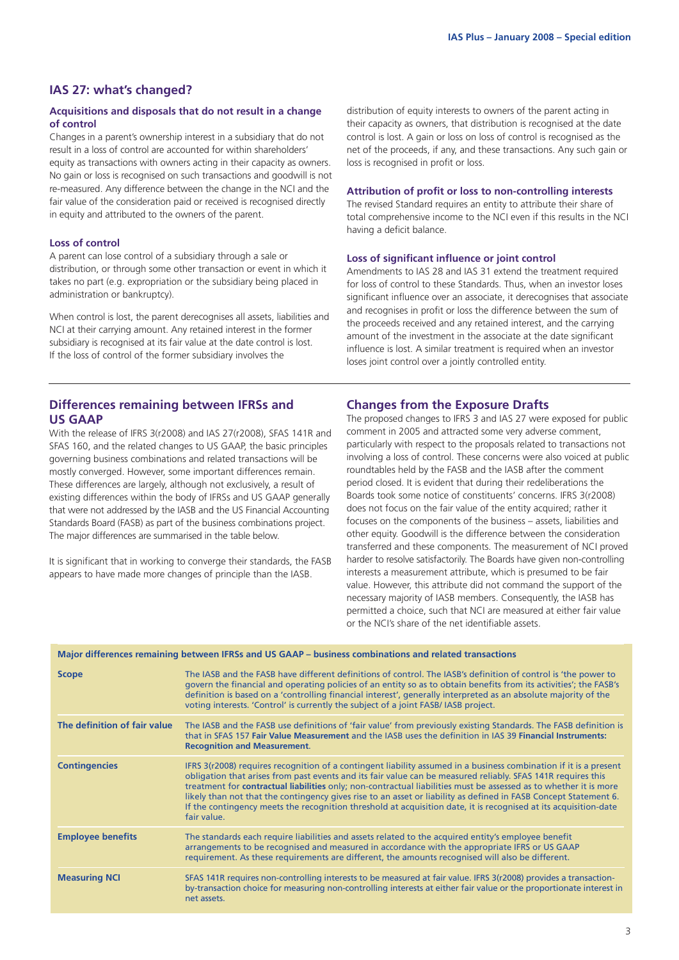#### **IAS 27: what's changed?**

#### **Acquisitions and disposals that do not result in a change of control**

Changes in a parent's ownership interest in a subsidiary that do not result in a loss of control are accounted for within shareholders' equity as transactions with owners acting in their capacity as owners. No gain or loss is recognised on such transactions and goodwill is not re-measured. Any difference between the change in the NCI and the fair value of the consideration paid or received is recognised directly in equity and attributed to the owners of the parent.

#### **Loss of control**

A parent can lose control of a subsidiary through a sale or distribution, or through some other transaction or event in which it takes no part (e.g. expropriation or the subsidiary being placed in administration or bankruptcy).

When control is lost, the parent derecognises all assets, liabilities and NCI at their carrying amount. Any retained interest in the former subsidiary is recognised at its fair value at the date control is lost. If the loss of control of the former subsidiary involves the

distribution of equity interests to owners of the parent acting in their capacity as owners, that distribution is recognised at the date control is lost. A gain or loss on loss of control is recognised as the net of the proceeds, if any, and these transactions. Any such gain or loss is recognised in profit or loss.

#### **Attribution of profit or loss to non-controlling interests**

The revised Standard requires an entity to attribute their share of total comprehensive income to the NCI even if this results in the NCI having a deficit balance.

#### **Loss of significant influence or joint control**

Amendments to IAS 28 and IAS 31 extend the treatment required for loss of control to these Standards. Thus, when an investor loses significant influence over an associate, it derecognises that associate and recognises in profit or loss the difference between the sum of the proceeds received and any retained interest, and the carrying amount of the investment in the associate at the date significant influence is lost. A similar treatment is required when an investor loses joint control over a jointly controlled entity.

#### **Differences remaining between IFRSs and US GAAP**

With the release of IFRS 3(r2008) and IAS 27(r2008), SFAS 141R and SFAS 160, and the related changes to US GAAP, the basic principles governing business combinations and related transactions will be mostly converged. However, some important differences remain. These differences are largely, although not exclusively, a result of existing differences within the body of IFRSs and US GAAP generally that were not addressed by the IASB and the US Financial Accounting Standards Board (FASB) as part of the business combinations project. The major differences are summarised in the table below.

It is significant that in working to converge their standards, the FASB appears to have made more changes of principle than the IASB.

#### **Changes from the Exposure Drafts**

The proposed changes to IFRS 3 and IAS 27 were exposed for public comment in 2005 and attracted some very adverse comment, particularly with respect to the proposals related to transactions not involving a loss of control. These concerns were also voiced at public roundtables held by the FASB and the IASB after the comment period closed. It is evident that during their redeliberations the Boards took some notice of constituents' concerns. IFRS 3(r2008) does not focus on the fair value of the entity acquired; rather it focuses on the components of the business – assets, liabilities and other equity. Goodwill is the difference between the consideration transferred and these components. The measurement of NCI proved harder to resolve satisfactorily. The Boards have given non-controlling interests a measurement attribute, which is presumed to be fair value. However, this attribute did not command the support of the necessary majority of IASB members. Consequently, the IASB has permitted a choice, such that NCI are measured at either fair value or the NCI's share of the net identifiable assets.

| <b>Scope</b>                 | The IASB and the FASB have different definitions of control. The IASB's definition of control is 'the power to<br>govern the financial and operating policies of an entity so as to obtain benefits from its activities'; the FASB's<br>definition is based on a 'controlling financial interest', generally interpreted as an absolute majority of the<br>voting interests. 'Control' is currently the subject of a joint FASB/ IASB project.                                                                                                                                                                       |
|------------------------------|----------------------------------------------------------------------------------------------------------------------------------------------------------------------------------------------------------------------------------------------------------------------------------------------------------------------------------------------------------------------------------------------------------------------------------------------------------------------------------------------------------------------------------------------------------------------------------------------------------------------|
| The definition of fair value | The IASB and the FASB use definitions of 'fair value' from previously existing Standards. The FASB definition is<br>that in SFAS 157 Fair Value Measurement and the IASB uses the definition in IAS 39 Financial Instruments:<br><b>Recognition and Measurement.</b>                                                                                                                                                                                                                                                                                                                                                 |
| <b>Contingencies</b>         | IFRS 3(r2008) requires recognition of a contingent liability assumed in a business combination if it is a present<br>obligation that arises from past events and its fair value can be measured reliably. SFAS 141R requires this<br>treatment for <b>contractual liabilities</b> only; non-contractual liabilities must be assessed as to whether it is more<br>likely than not that the contingency gives rise to an asset or liability as defined in FASB Concept Statement 6.<br>If the contingency meets the recognition threshold at acquisition date, it is recognised at its acquisition-date<br>fair value. |
| <b>Employee benefits</b>     | The standards each require liabilities and assets related to the acquired entity's employee benefit<br>arrangements to be recognised and measured in accordance with the appropriate IFRS or US GAAP<br>requirement. As these requirements are different, the amounts recognised will also be different.                                                                                                                                                                                                                                                                                                             |
| <b>Measuring NCI</b>         | SFAS 141R requires non-controlling interests to be measured at fair value. IFRS 3(r2008) provides a transaction-<br>by-transaction choice for measuring non-controlling interests at either fair value or the proportionate interest in<br>net assets.                                                                                                                                                                                                                                                                                                                                                               |

**Major differences remaining between IFRSs and US GAAP – business combinations and related transactions**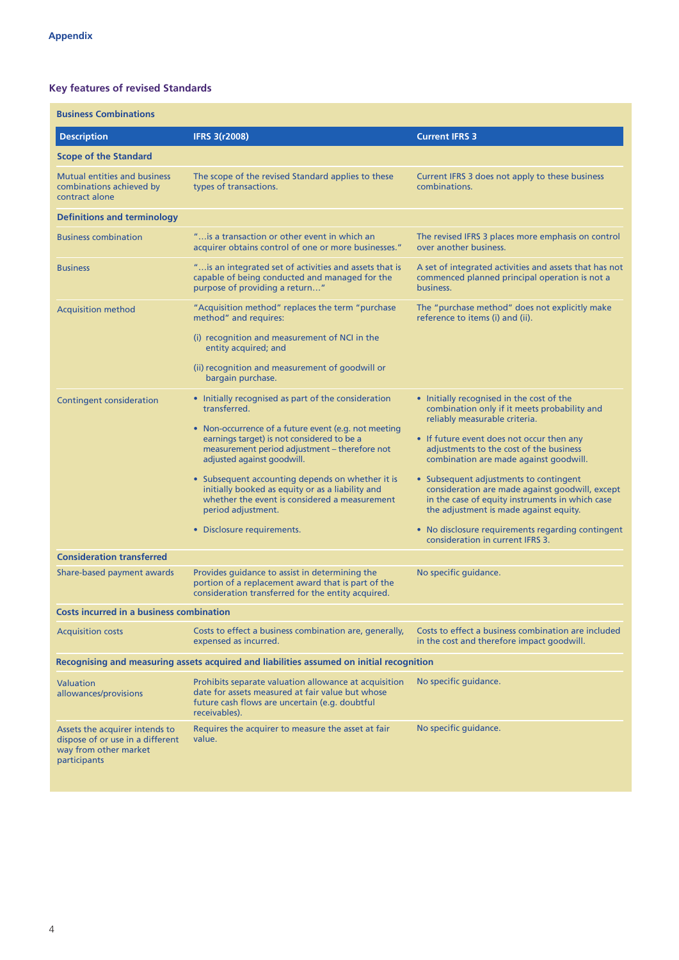#### **Key features of revised Standards**

| <b>Business Combinations</b>                                                                                |                                                                                                                                                                                                                                                                                                                                                                                                                                                                       |                                                                                                                                                                                                                                                                                                                                                                                                                                                                                                                                                 |  |  |
|-------------------------------------------------------------------------------------------------------------|-----------------------------------------------------------------------------------------------------------------------------------------------------------------------------------------------------------------------------------------------------------------------------------------------------------------------------------------------------------------------------------------------------------------------------------------------------------------------|-------------------------------------------------------------------------------------------------------------------------------------------------------------------------------------------------------------------------------------------------------------------------------------------------------------------------------------------------------------------------------------------------------------------------------------------------------------------------------------------------------------------------------------------------|--|--|
| <b>Description</b>                                                                                          | <b>IFRS 3(r2008)</b>                                                                                                                                                                                                                                                                                                                                                                                                                                                  | <b>Current IFRS 3</b>                                                                                                                                                                                                                                                                                                                                                                                                                                                                                                                           |  |  |
| <b>Scope of the Standard</b>                                                                                |                                                                                                                                                                                                                                                                                                                                                                                                                                                                       |                                                                                                                                                                                                                                                                                                                                                                                                                                                                                                                                                 |  |  |
| <b>Mutual entities and business</b><br>combinations achieved by<br>contract alone                           | The scope of the revised Standard applies to these<br>types of transactions.                                                                                                                                                                                                                                                                                                                                                                                          | Current IFRS 3 does not apply to these business<br>combinations.                                                                                                                                                                                                                                                                                                                                                                                                                                                                                |  |  |
| <b>Definitions and terminology</b>                                                                          |                                                                                                                                                                                                                                                                                                                                                                                                                                                                       |                                                                                                                                                                                                                                                                                                                                                                                                                                                                                                                                                 |  |  |
| <b>Business combination</b>                                                                                 | " is a transaction or other event in which an<br>acquirer obtains control of one or more businesses."                                                                                                                                                                                                                                                                                                                                                                 | The revised IFRS 3 places more emphasis on control<br>over another business.                                                                                                                                                                                                                                                                                                                                                                                                                                                                    |  |  |
| <b>Business</b>                                                                                             | " is an integrated set of activities and assets that is<br>capable of being conducted and managed for the<br>purpose of providing a return"                                                                                                                                                                                                                                                                                                                           | A set of integrated activities and assets that has not<br>commenced planned principal operation is not a<br>business.                                                                                                                                                                                                                                                                                                                                                                                                                           |  |  |
| <b>Acquisition method</b>                                                                                   | "Acquisition method" replaces the term "purchase<br>method" and requires:<br>(i) recognition and measurement of NCI in the<br>entity acquired; and<br>(ii) recognition and measurement of goodwill or<br>bargain purchase.                                                                                                                                                                                                                                            | The "purchase method" does not explicitly make<br>reference to items (i) and (ii).                                                                                                                                                                                                                                                                                                                                                                                                                                                              |  |  |
| <b>Contingent consideration</b>                                                                             | • Initially recognised as part of the consideration<br>transferred.<br>• Non-occurrence of a future event (e.g. not meeting<br>earnings target) is not considered to be a<br>measurement period adjustment - therefore not<br>adjusted against goodwill.<br>• Subsequent accounting depends on whether it is<br>initially booked as equity or as a liability and<br>whether the event is considered a measurement<br>period adjustment.<br>• Disclosure requirements. | • Initially recognised in the cost of the<br>combination only if it meets probability and<br>reliably measurable criteria.<br>• If future event does not occur then any<br>adjustments to the cost of the business<br>combination are made against goodwill.<br>• Subsequent adjustments to contingent<br>consideration are made against goodwill, except<br>in the case of equity instruments in which case<br>the adjustment is made against equity.<br>• No disclosure requirements regarding contingent<br>consideration in current IFRS 3. |  |  |
| <b>Consideration transferred</b>                                                                            |                                                                                                                                                                                                                                                                                                                                                                                                                                                                       |                                                                                                                                                                                                                                                                                                                                                                                                                                                                                                                                                 |  |  |
| Share-based payment awards                                                                                  | Provides guidance to assist in determining the<br>portion of a replacement award that is part of the<br>consideration transferred for the entity acquired.                                                                                                                                                                                                                                                                                                            | No specific guidance.                                                                                                                                                                                                                                                                                                                                                                                                                                                                                                                           |  |  |
| <b>Costs incurred in a business combination</b>                                                             |                                                                                                                                                                                                                                                                                                                                                                                                                                                                       |                                                                                                                                                                                                                                                                                                                                                                                                                                                                                                                                                 |  |  |
| <b>Acquisition costs</b>                                                                                    | Costs to effect a business combination are, generally,<br>expensed as incurred.                                                                                                                                                                                                                                                                                                                                                                                       | Costs to effect a business combination are included<br>in the cost and therefore impact goodwill.                                                                                                                                                                                                                                                                                                                                                                                                                                               |  |  |
|                                                                                                             | Recognising and measuring assets acquired and liabilities assumed on initial recognition                                                                                                                                                                                                                                                                                                                                                                              |                                                                                                                                                                                                                                                                                                                                                                                                                                                                                                                                                 |  |  |
| Valuation<br>allowances/provisions                                                                          | Prohibits separate valuation allowance at acquisition<br>date for assets measured at fair value but whose<br>future cash flows are uncertain (e.g. doubtful<br>receivables).                                                                                                                                                                                                                                                                                          | No specific guidance.                                                                                                                                                                                                                                                                                                                                                                                                                                                                                                                           |  |  |
| Assets the acquirer intends to<br>dispose of or use in a different<br>way from other market<br>participants | Requires the acquirer to measure the asset at fair<br>value.                                                                                                                                                                                                                                                                                                                                                                                                          | No specific guidance.                                                                                                                                                                                                                                                                                                                                                                                                                                                                                                                           |  |  |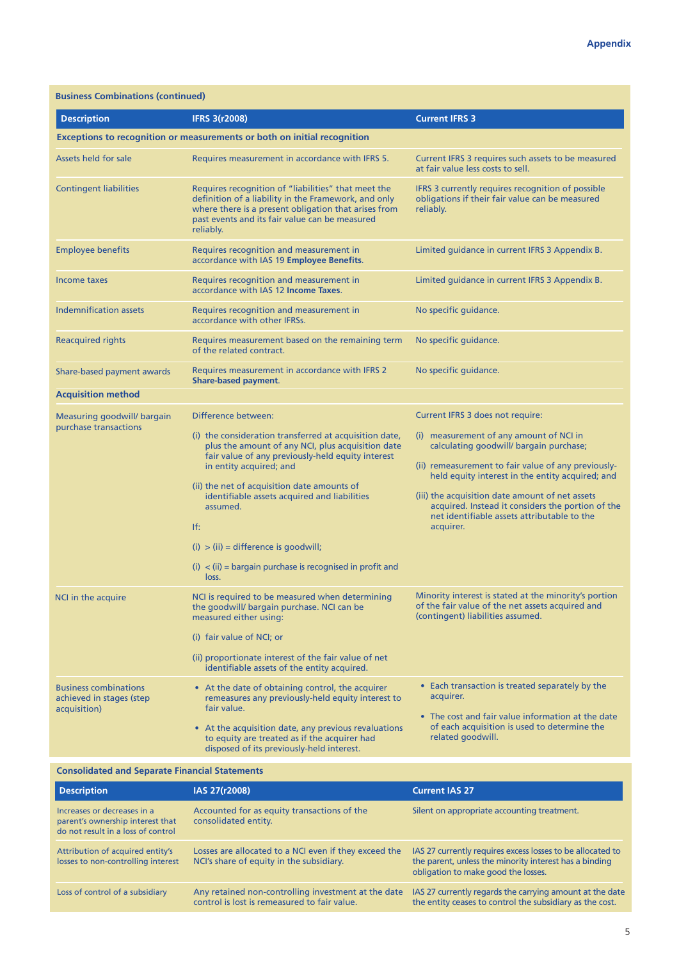| <b>Description</b>                                                       | <b>IFRS 3(r2008)</b>                                                                                                                                                                                                                                                                                                                                                                                                                                   | <b>Current IFRS 3</b>                                                                                                                                                                                                                                                                                                                                                                                 |
|--------------------------------------------------------------------------|--------------------------------------------------------------------------------------------------------------------------------------------------------------------------------------------------------------------------------------------------------------------------------------------------------------------------------------------------------------------------------------------------------------------------------------------------------|-------------------------------------------------------------------------------------------------------------------------------------------------------------------------------------------------------------------------------------------------------------------------------------------------------------------------------------------------------------------------------------------------------|
|                                                                          | <b>Exceptions to recognition or measurements or both on initial recognition</b>                                                                                                                                                                                                                                                                                                                                                                        |                                                                                                                                                                                                                                                                                                                                                                                                       |
| Assets held for sale                                                     | Requires measurement in accordance with IFRS 5.                                                                                                                                                                                                                                                                                                                                                                                                        | Current IFRS 3 requires such assets to be measured<br>at fair value less costs to sell.                                                                                                                                                                                                                                                                                                               |
| <b>Contingent liabilities</b>                                            | Requires recognition of "liabilities" that meet the<br>definition of a liability in the Framework, and only<br>where there is a present obligation that arises from<br>past events and its fair value can be measured<br>reliably.                                                                                                                                                                                                                     | IFRS 3 currently requires recognition of possible<br>obligations if their fair value can be measured<br>reliably.                                                                                                                                                                                                                                                                                     |
| <b>Employee benefits</b>                                                 | Requires recognition and measurement in<br>accordance with IAS 19 Employee Benefits.                                                                                                                                                                                                                                                                                                                                                                   | Limited guidance in current IFRS 3 Appendix B.                                                                                                                                                                                                                                                                                                                                                        |
| Income taxes                                                             | Requires recognition and measurement in<br>accordance with IAS 12 <b>Income Taxes</b> .                                                                                                                                                                                                                                                                                                                                                                | Limited guidance in current IFRS 3 Appendix B.                                                                                                                                                                                                                                                                                                                                                        |
| <b>Indemnification assets</b>                                            | Requires recognition and measurement in<br>accordance with other IFRSs.                                                                                                                                                                                                                                                                                                                                                                                | No specific guidance.                                                                                                                                                                                                                                                                                                                                                                                 |
| <b>Reacquired rights</b>                                                 | Requires measurement based on the remaining term<br>of the related contract.                                                                                                                                                                                                                                                                                                                                                                           | No specific quidance.                                                                                                                                                                                                                                                                                                                                                                                 |
| Share-based payment awards                                               | Requires measurement in accordance with IFRS 2<br><b>Share-based payment.</b>                                                                                                                                                                                                                                                                                                                                                                          | No specific guidance.                                                                                                                                                                                                                                                                                                                                                                                 |
| <b>Acquisition method</b>                                                |                                                                                                                                                                                                                                                                                                                                                                                                                                                        |                                                                                                                                                                                                                                                                                                                                                                                                       |
| Measuring goodwill/ bargain<br>purchase transactions                     | Difference between:<br>(i) the consideration transferred at acquisition date,<br>plus the amount of any NCI, plus acquisition date<br>fair value of any previously-held equity interest<br>in entity acquired; and<br>(ii) the net of acquisition date amounts of<br>identifiable assets acquired and liabilities<br>assumed.<br>If:<br>$(i) > (ii) = difference$ is goodwill;<br>$(i)$ < (ii) = bargain purchase is recognised in profit and<br>loss. | Current IFRS 3 does not require:<br>(i) measurement of any amount of NCI in<br>calculating goodwill/ bargain purchase;<br>(ii) remeasurement to fair value of any previously-<br>held equity interest in the entity acquired; and<br>(iii) the acquisition date amount of net assets<br>acquired. Instead it considers the portion of the<br>net identifiable assets attributable to the<br>acquirer. |
| NCI in the acquire                                                       | NCI is required to be measured when determining<br>the goodwill/ bargain purchase. NCI can be<br>measured either using:<br>(i) fair value of NCI; or<br>(ii) proportionate interest of the fair value of net<br>identifiable assets of the entity acquired.                                                                                                                                                                                            | Minority interest is stated at the minority's portion<br>of the fair value of the net assets acquired and<br>(contingent) liabilities assumed.                                                                                                                                                                                                                                                        |
| <b>Business combinations</b><br>achieved in stages (step<br>acquisition) | • At the date of obtaining control, the acquirer<br>remeasures any previously-held equity interest to<br>fair value.<br>• At the acquisition date, any previous revaluations<br>to equity are treated as if the acquirer had<br>disposed of its previously-held interest.                                                                                                                                                                              | • Each transaction is treated separately by the<br>acquirer.<br>• The cost and fair value information at the date<br>of each acquisition is used to determine the<br>related goodwill.                                                                                                                                                                                                                |

#### **Consolidated and Separate Financial Statements**

| <b>Description</b>                                                                                    | IAS 27(r2008)                                                                                       | <b>Current IAS 27</b>                                                                                                                                       |
|-------------------------------------------------------------------------------------------------------|-----------------------------------------------------------------------------------------------------|-------------------------------------------------------------------------------------------------------------------------------------------------------------|
| Increases or decreases in a<br>parent's ownership interest that<br>do not result in a loss of control | Accounted for as equity transactions of the<br>consolidated entity.                                 | Silent on appropriate accounting treatment.                                                                                                                 |
| Attribution of acquired entity's<br>losses to non-controlling interest                                | Losses are allocated to a NCI even if they exceed the<br>NCI's share of equity in the subsidiary.   | IAS 27 currently requires excess losses to be allocated to<br>the parent, unless the minority interest has a binding<br>obligation to make good the losses. |
| Loss of control of a subsidiary                                                                       | Any retained non-controlling investment at the date<br>control is lost is remeasured to fair value. | IAS 27 currently regards the carrying amount at the date<br>the entity ceases to control the subsidiary as the cost.                                        |